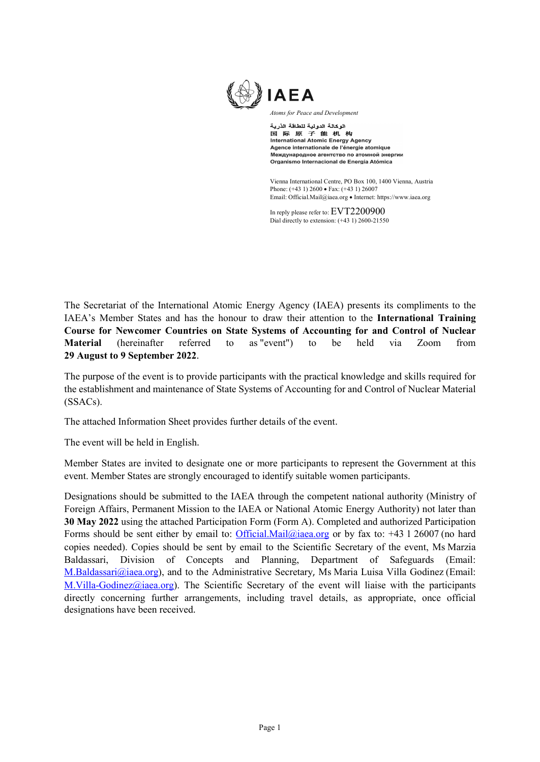

*Atoms for Peace and Development*

الوكالة الدولية للطاقة الذرية 国际原子能机构<br>国际原子能机构 Agence internationale de l'énergie atomique Международное агентство по атомной энергии Organismo Internacional de Energía Atómica

Vienna International Centre, PO Box 100, 1400 Vienna, Austria Phone: (+43 1) 2600 • Fax: (+43 1) 26007 Email: Official.Mail@iaea.org • Internet[: https://www.iaea.org](https://www.iaea.org/)

In reply please refer to: EVT2200900 Dial directly to extension: (+43 1) 2600-21550

The Secretariat of the International Atomic Energy Agency (IAEA) presents its compliments to the IAEA's Member States and has the honour to draw their attention to the **International Training Course for Newcomer Countries on State Systems of Accounting for and Control of Nuclear Material** (hereinafter referred to as "event") to be held via Zoom from **29 August to 9 September 2022**.

The purpose of the event is to provide participants with the practical knowledge and skills required for the establishment and maintenance of State Systems of Accounting for and Control of Nuclear Material (SSACs).

The attached Information Sheet provides further details of the event.

The event will be held in English.

Member States are invited to designate one or more participants to represent the Government at this event. Member States are strongly encouraged to identify suitable women participants.

Designations should be submitted to the IAEA through the competent national authority (Ministry of Foreign Affairs, Permanent Mission to the IAEA or National Atomic Energy Authority) not later than **30 May 2022** using the attached Participation Form (Form A). Completed and authorized Participation Forms should be sent either by email to: [Official.Mail@iaea.org](mailto:Official.Mail@iaea.org) or by fax to: +43 1 26007 (no hard copies needed). Copies should be sent by email to the Scientific Secretary of the event, Ms Marzia Baldassari, Division of Concepts and Planning, Department of Safeguards (Email: M.Baldassari@iaea.org), and to the Administrative Secretary, Ms Maria Luisa Villa Godinez (Email: M.Villa-Godinez@iaea.org). The Scientific Secretary of the event will liaise with the participants directly concerning further arrangements, including travel details, as appropriate, once official designations have been received.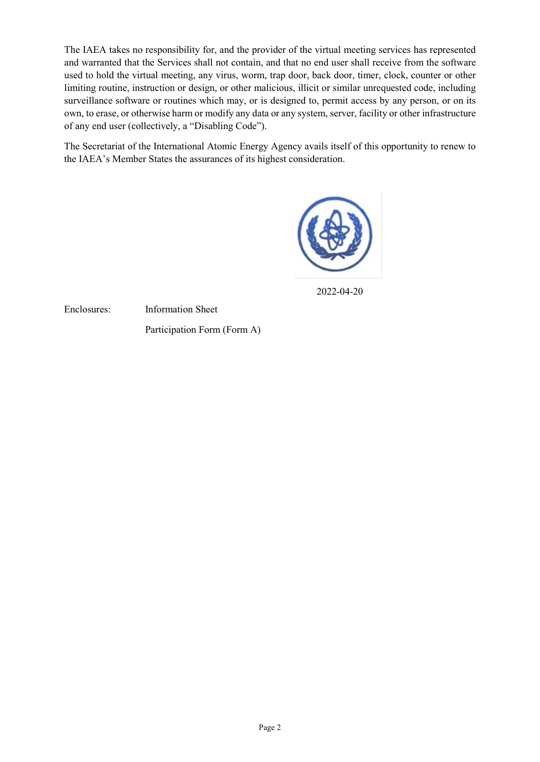The IAEA takes no responsibility for, and the provider of the virtual meeting services has represented and warranted that the Services shall not contain, and that no end user shall receive from the software used to hold the virtual meeting, any virus, worm, trap door, back door, timer, clock, counter or other limiting routine, instruction or design, or other malicious, illicit or similar unrequested code, including surveillance software or routines which may, or is designed to, permit access by any person, or on its own, to erase, or otherwise harm or modify any data or any system, server, facility or other infrastructure of any end user (collectively, a "Disabling Code").

The Secretariat of the International Atomic Energy Agency avails itself of this opportunity to renew to the IAEA's Member States the assurances of its highest consideration.



2022-04-20

Enclosures: Information Sheet

Participation Form (Form A)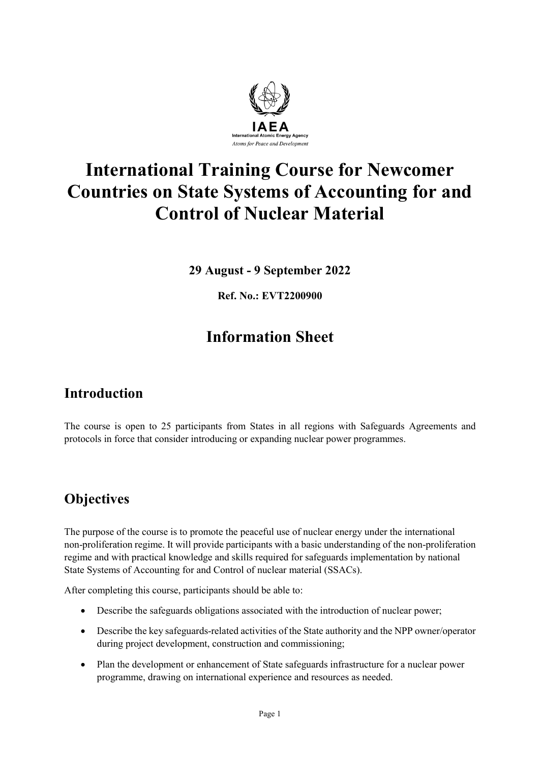

# **International Training Course for Newcomer Countries on State Systems of Accounting for and Control of Nuclear Material**

**29 August - 9 September 2022**

**Ref. No.: EVT2200900**

## **Information Sheet**

### **Introduction**

The course is open to 25 participants from States in all regions with Safeguards Agreements and protocols in force that consider introducing or expanding nuclear power programmes.

### **Objectives**

The purpose of the course is to promote the peaceful use of nuclear energy under the international non-proliferation regime. It will provide participants with a basic understanding of the non-proliferation regime and with practical knowledge and skills required for safeguards implementation by national State Systems of Accounting for and Control of nuclear material (SSACs).

After completing this course, participants should be able to:

- Describe the safeguards obligations associated with the introduction of nuclear power;
- Describe the key safeguards-related activities of the State authority and the NPP owner/operator during project development, construction and commissioning;
- Plan the development or enhancement of State safeguards infrastructure for a nuclear power programme, drawing on international experience and resources as needed.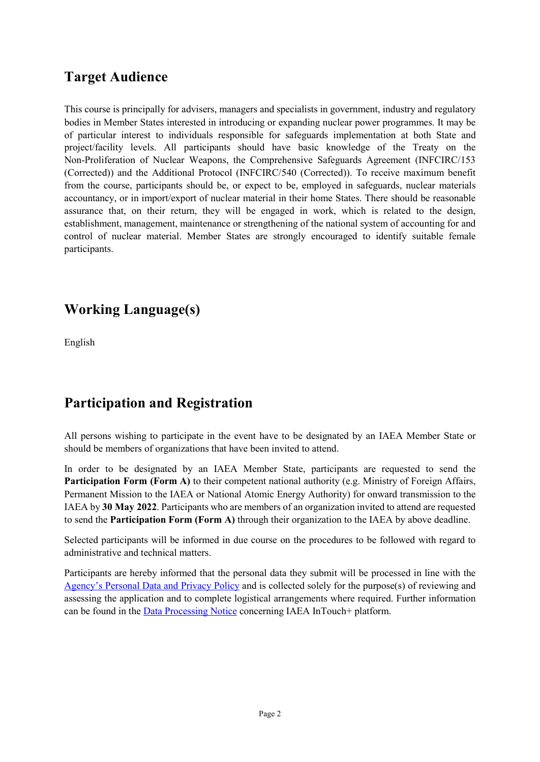#### **Target Audience**

This course is principally for advisers, managers and specialists in government, industry and regulatory bodies in Member States interested in introducing or expanding nuclear power programmes. It may be of particular interest to individuals responsible for safeguards implementation at both State and project/facility levels. All participants should have basic knowledge of the Treaty on the Non-Proliferation of Nuclear Weapons, the Comprehensive Safeguards Agreement (INFCIRC/153 (Corrected)) and the Additional Protocol (INFCIRC/540 (Corrected)). To receive maximum benefit from the course, participants should be, or expect to be, employed in safeguards, nuclear materials accountancy, or in import/export of nuclear material in their home States. There should be reasonable assurance that, on their return, they will be engaged in work, which is related to the design, establishment, management, maintenance or strengthening of the national system of accounting for and control of nuclear material. Member States are strongly encouraged to identify suitable female participants.

### **Working Language(s)**

English

### **Participation and Registration**

All persons wishing to participate in the event have to be designated by an IAEA Member State or should be members of organizations that have been invited to attend.

In order to be designated by an IAEA Member State, participants are requested to send the **Participation Form (Form A)** to their competent national authority (e.g. Ministry of Foreign Affairs, Permanent Mission to the IAEA or National Atomic Energy Authority) for onward transmission to the IAEA by **30 May 2022**. Participants who are members of an organization invited to attend are requested to send the **Participation Form (Form A)** through their organization to the IAEA by above deadline.

Selected participants will be informed in due course on the procedures to be followed with regard to administrative and technical matters.

Participants are hereby informed that the personal data they submit will be processed in line with the [Agency's Personal Data and Privacy Policy](https://www.iaea.org/about/privacy-policy) and is collected solely for the purpose(s) of reviewing and assessing the application and to complete logistical arrangements where required. Further information can be found in the [Data Processing Notice](https://nucleus.iaea.org/sites/intouchplushelp/Documents/itp_dpn.pdf) concerning IAEA InTouch+ platform.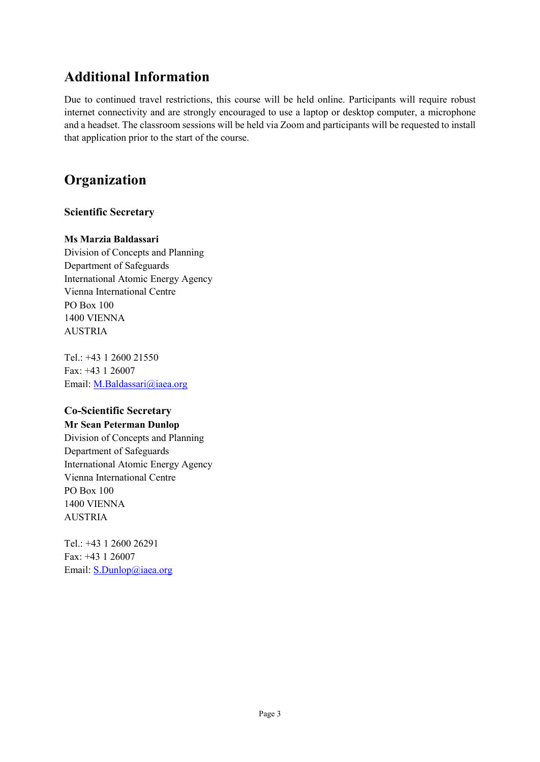#### **Additional Information**

Due to continued travel restrictions, this course will be held online. Participants will require robust internet connectivity and are strongly encouraged to use a laptop or desktop computer, a microphone and a headset. The classroom sessions will be held via Zoom and participants will be requested to install that application prior to the start of the course.

### **Organization**

#### **Scientific Secretary**

#### **Ms Marzia Baldassari**

Division of Concepts and Planning Department of Safeguards International Atomic Energy Agency Vienna International Centre PO Box 100 1400 VIENNA AUSTRIA

Tel.: +43 1 2600 21550 Fax: +43 1 26007 Email: M.Baldassari@iaea.org

#### **Co-Scientific Secretary**

**Mr Sean Peterman Dunlop** Division of Concepts and Planning Department of Safeguards International Atomic Energy Agency Vienna International Centre PO Box 100 1400 VIENNA AUSTRIA

Tel.: +43 1 2600 26291 Fax: +43 1 26007 Email: **S.Dunlop@iaea.org**